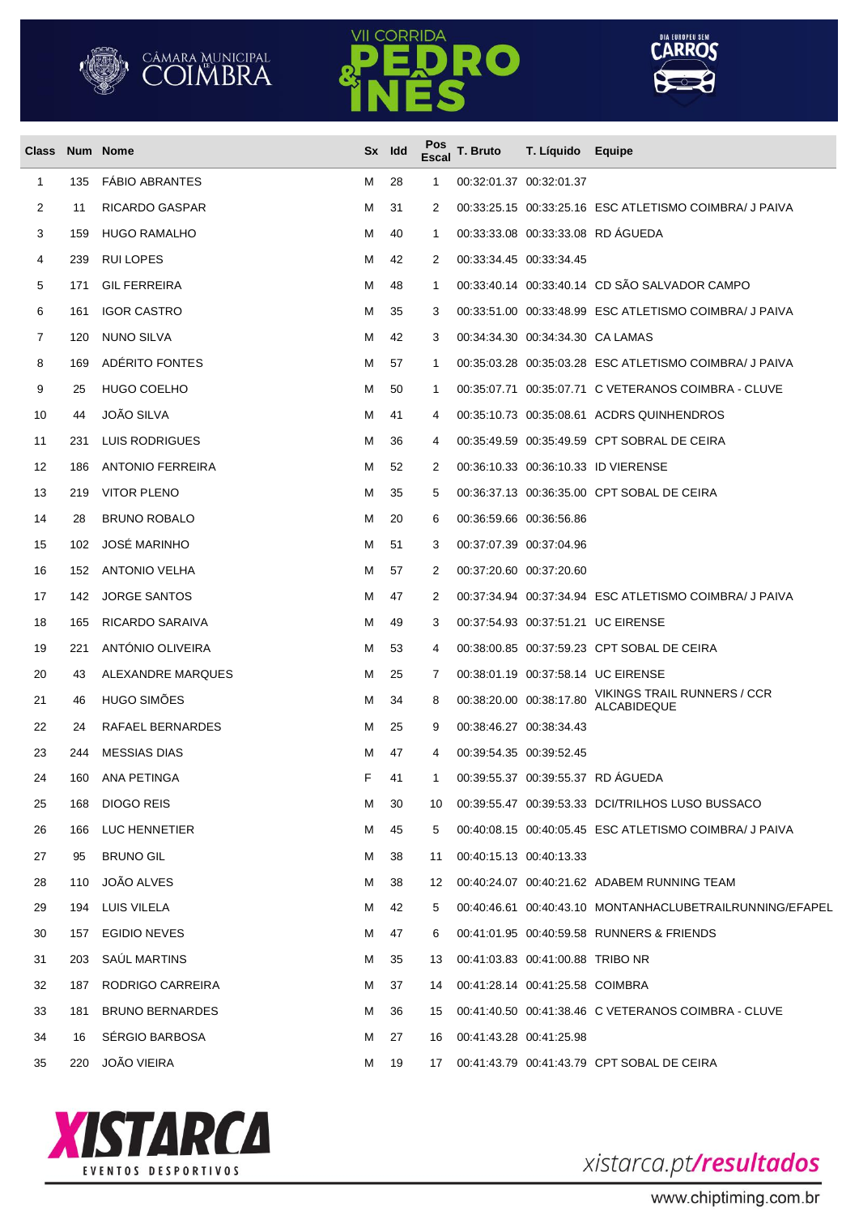





| Class Num Nome |     |                         |   | Sx Idd | Pos<br><b>Escal</b> | T. Bruto | T. Líquido Equipe                |                                                          |
|----------------|-----|-------------------------|---|--------|---------------------|----------|----------------------------------|----------------------------------------------------------|
| 1              | 135 | <b>FABIO ABRANTES</b>   | м | 28     | 1                   |          | 00:32:01.37 00:32:01.37          |                                                          |
| 2              | 11  | RICARDO GASPAR          | м | 31     | 2                   |          |                                  | 00:33:25.15 00:33:25.16 ESC ATLETISMO COIMBRA/ J PAIVA   |
| 3              | 159 | <b>HUGO RAMALHO</b>     | М | 40     | 1                   |          |                                  | 00:33:33.08 00:33:33.08 RD AGUEDA                        |
| 4              | 239 | RUI LOPES               | M | 42     | 2                   |          | 00:33:34.45 00:33:34.45          |                                                          |
| 5              | 171 | <b>GIL FERREIRA</b>     | м | 48     | 1                   |          |                                  | 00:33:40.14 00:33:40.14 CD SÃO SALVADOR CAMPO            |
| 6              | 161 | <b>IGOR CASTRO</b>      | м | 35     | 3                   |          |                                  | 00:33:51.00 00:33:48.99 ESC ATLETISMO COIMBRA/ J PAIVA   |
| 7              | 120 | NUNO SILVA              | м | 42     | 3                   |          | 00:34:34.30 00:34:34.30 CA LAMAS |                                                          |
| 8              | 169 | ADÉRITO FONTES          | м | 57     | 1                   |          |                                  | 00:35:03.28 00:35:03.28 ESC ATLETISMO COIMBRA/ J PAIVA   |
| 9              | 25  | <b>HUGO COELHO</b>      | M | 50     | 1                   |          |                                  |                                                          |
| 10             | 44  | <b>JOÃO SILVA</b>       | м | 41     | 4                   |          |                                  | 00:35:10.73 00:35:08.61 ACDRS QUINHENDROS                |
| 11             | 231 | LUIS RODRIGUES          | м | 36     | 4                   |          |                                  | 00:35:49.59 00:35:49.59 CPT SOBRAL DE CEIRA              |
| 12             | 186 | <b>ANTONIO FERREIRA</b> | м | 52     | 2                   |          |                                  | 00:36:10.33 00:36:10.33 ID VIERENSE                      |
| 13             | 219 | <b>VITOR PLENO</b>      | м | 35     | 5                   |          |                                  | 00:36:37.13 00:36:35.00 CPT SOBAL DE CEIRA               |
| 14             | 28  | <b>BRUNO ROBALO</b>     | м | 20     | 6                   |          | 00:36:59.66 00:36:56.86          |                                                          |
| 15             | 102 | <b>JOSÉ MARINHO</b>     | м | 51     | 3                   |          | 00:37:07.39 00:37:04.96          |                                                          |
| 16             | 152 | <b>ANTONIO VELHA</b>    | м | 57     | 2                   |          | 00:37:20.60 00:37:20.60          |                                                          |
| 17             | 142 | <b>JORGE SANTOS</b>     | м | 47     | 2                   |          |                                  | 00:37:34.94 00:37:34.94 ESC ATLETISMO COIMBRA/ J PAIVA   |
| 18             | 165 | RICARDO SARAIVA         | м | 49     | 3                   |          |                                  | 00:37:54.93 00:37:51.21 UC EIRENSE                       |
| 19             | 221 | <b>ANTONIO OLIVEIRA</b> | м | 53     | 4                   |          |                                  | 00:38:00.85 00:37:59.23 CPT SOBAL DE CEIRA               |
| 20             | 43  | ALEXANDRE MARQUES       | м | 25     | 7                   |          |                                  | 00:38:01.19 00:37:58.14 UC EIRENSE                       |
| 21             | 46  | HUGO SIMÕES             | м | 34     | 8                   |          | 00:38:20.00 00:38:17.80          | VIKINGS TRAIL RUNNERS / CCR<br>ALCABIDEQUE               |
| 22             | 24  | RAFAEL BERNARDES        | м | 25     | 9                   |          | 00:38:46.27 00:38:34.43          |                                                          |
| 23             | 244 | <b>MESSIAS DIAS</b>     | м | 47     | 4                   |          | 00:39:54.35 00:39:52.45          |                                                          |
| 24             | 160 | ANA PETINGA             | F | 41     | $\mathbf{1}$        |          |                                  | 00:39:55.37 00:39:55.37 RD AGUEDA                        |
| 25             | 168 | DIOGO REIS              | м | 30     | 10                  |          |                                  | 00:39:55.47 00:39:53.33 DCI/TRILHOS LUSO BUSSACO         |
| 26             |     | 166 LUC HENNETIER       | м | 45     | 5                   |          |                                  | 00:40:08.15 00:40:05.45 ESC ATLETISMO COIMBRA/ J PAIVA   |
| 27             | 95  | <b>BRUNO GIL</b>        | м | 38     | 11                  |          | 00:40:15.13 00:40:13.33          |                                                          |
| 28             | 110 | JOÃO ALVES              | м | 38     | 12                  |          |                                  | 00:40:24.07 00:40:21.62 ADABEM RUNNING TEAM              |
| 29             | 194 | LUIS VILELA             | М | 42     | 5                   |          |                                  | 00:40:46.61 00:40:43.10 MONTANHACLUBETRAILRUNNING/EFAPEL |
| 30             |     | 157 EGIDIO NEVES        | м | 47     | 6                   |          |                                  | 00:41:01.95 00:40:59.58 RUNNERS & FRIENDS                |
| 31             | 203 | SAÚL MARTINS            | М | 35     | 13                  |          | 00:41:03.83 00:41:00.88 TRIBO NR |                                                          |
| 32             | 187 | RODRIGO CARREIRA        | м | 37     | 14                  |          | 00:41:28.14 00:41:25.58 COIMBRA  |                                                          |
| 33             | 181 | <b>BRUNO BERNARDES</b>  | м | 36     | 15                  |          |                                  | 00:41:40.50 00:41:38.46 C VETERANOS COIMBRA - CLUVE      |
| 34             | 16  | SÉRGIO BARBOSA          | м | 27     | 16                  |          | 00:41:43.28 00:41:25.98          |                                                          |
| 35             | 220 | <b>JOÃO VIEIRA</b>      | М | 19     | 17                  |          |                                  | 00:41:43.79 00:41:43.79 CPT SOBAL DE CEIRA               |



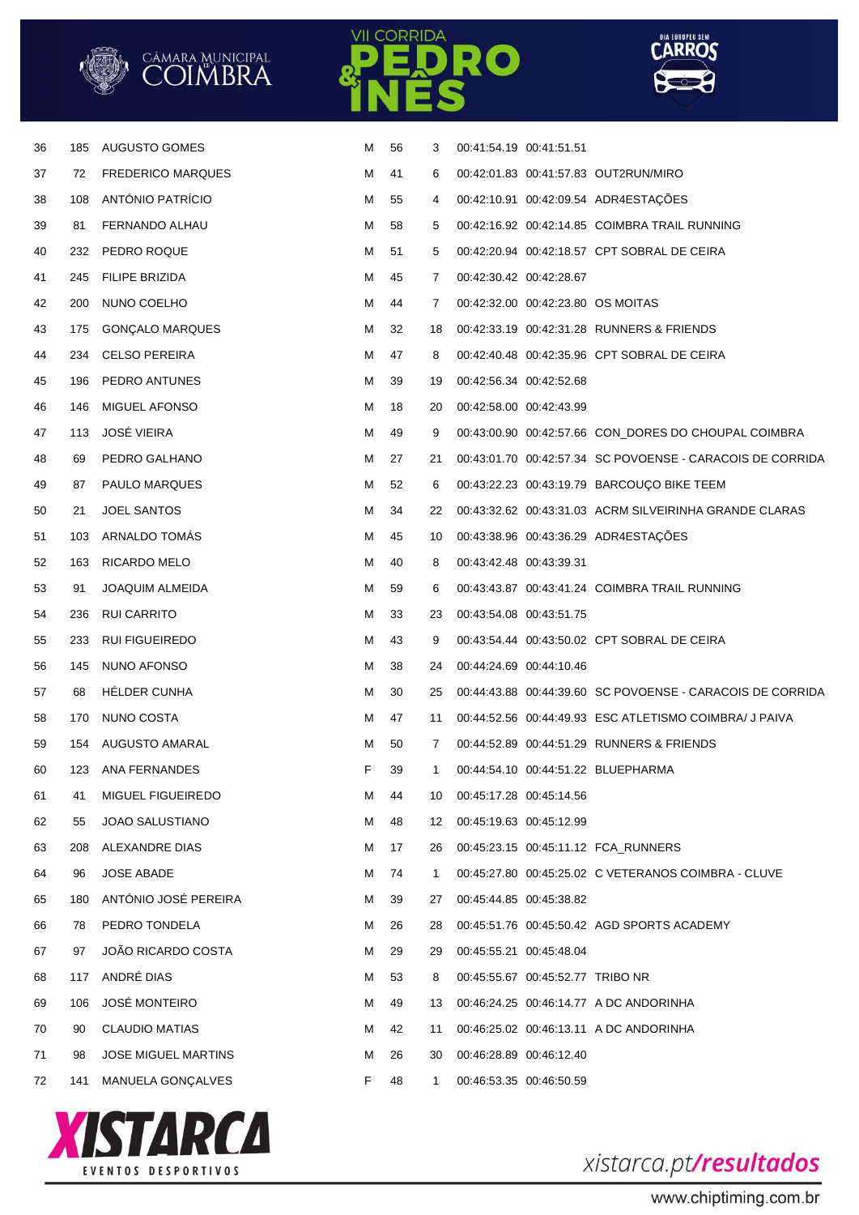

**CORRIDA** 

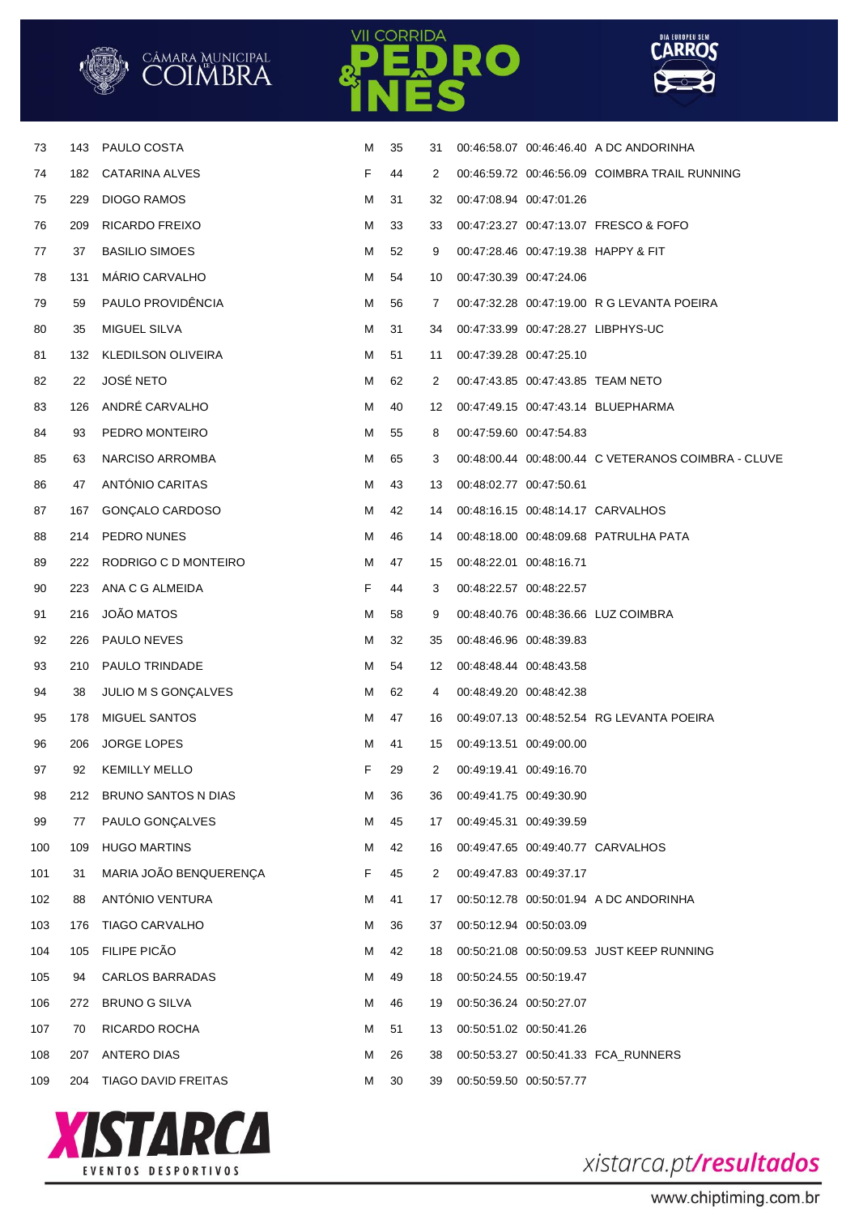





| 73  | 143 | PAULO COSTA                | м | 35 | 31 |                         | 00:46:58.07 00:46:46.40 A DC ANDORINHA              |
|-----|-----|----------------------------|---|----|----|-------------------------|-----------------------------------------------------|
| 74  | 182 | CATARINA ALVES             | F | 44 | 2  |                         | 00:46:59.72 00:46:56.09 COIMBRA TRAIL RUNNING       |
| 75  | 229 | <b>DIOGO RAMOS</b>         | м | 31 | 32 | 00:47:08.94 00:47:01.26 |                                                     |
| 76  | 209 | RICARDO FREIXO             | м | 33 | 33 |                         | 00:47:23.27 00:47:13.07 FRESCO & FOFO               |
| 77  | 37  | <b>BASILIO SIMOES</b>      | м | 52 | 9  |                         | 00:47:28.46 00:47:19.38 HAPPY & FIT                 |
| 78  | 131 | <b>MARIO CARVALHO</b>      | м | 54 | 10 | 00:47:30.39 00:47:24.06 |                                                     |
| 79  | 59  | PAULO PROVIDÊNCIA          | м | 56 | 7  |                         | 00:47:32.28 00:47:19.00 R G LEVANTA POEIRA          |
| 80  | 35  | <b>MIGUEL SILVA</b>        | м | 31 | 34 |                         | 00:47:33.99 00:47:28.27 LIBPHYS-UC                  |
| 81  | 132 | KLEDILSON OLIVEIRA         | м | 51 | 11 | 00:47:39.28 00:47:25.10 |                                                     |
| 82  | 22  | <b>JOSÉ NETO</b>           | м | 62 | 2  |                         | 00:47:43.85 00:47:43.85 TEAM NETO                   |
| 83  | 126 | ANDRÉ CARVALHO             | м | 40 | 12 |                         | 00:47:49.15 00:47:43.14 BLUEPHARMA                  |
| 84  | 93  | PEDRO MONTEIRO             | м | 55 | 8  | 00:47:59.60 00:47:54.83 |                                                     |
| 85  | 63  | NARCISO ARROMBA            | м | 65 | 3  |                         | 00:48:00.44 00:48:00.44 C VETERANOS COIMBRA - CLUVE |
| 86  | 47  | ANTÓNIO CARITAS            | м | 43 | 13 | 00:48:02.77 00:47:50.61 |                                                     |
| 87  | 167 | GONÇALO CARDOSO            | М | 42 | 14 |                         | 00:48:16.15 00:48:14.17 CARVALHOS                   |
| 88  | 214 | PEDRO NUNES                | м | 46 | 14 |                         | 00:48:18.00 00:48:09.68 PATRULHA PATA               |
| 89  | 222 | RODRIGO C D MONTEIRO       | м | 47 | 15 | 00:48:22.01 00:48:16.71 |                                                     |
| 90  | 223 | ANA C G ALMEIDA            | F | 44 | 3  | 00:48:22.57 00:48:22.57 |                                                     |
| 91  | 216 | JOÃO MATOS                 | м | 58 | 9  |                         | 00:48:40.76 00:48:36.66 LUZ COIMBRA                 |
| 92  | 226 | PAULO NEVES                | м | 32 | 35 | 00:48:46.96 00:48:39.83 |                                                     |
| 93  | 210 | PAULO TRINDADE             | м | 54 | 12 | 00:48:48.44 00:48:43.58 |                                                     |
| 94  | 38  | JULIO M S GONÇALVES        | м | 62 | 4  | 00:48:49.20 00:48:42.38 |                                                     |
| 95  | 178 | MIGUEL SANTOS              | м | 47 | 16 |                         | 00:49:07.13 00:48:52.54 RG LEVANTA POEIRA           |
| 96  | 206 | JORGE LOPES                | м | 41 | 15 | 00:49:13.51 00:49:00.00 |                                                     |
| 97  | 92  | <b>KEMILLY MELLO</b>       | F | 29 | 2  | 00:49:19.41 00:49:16.70 |                                                     |
| 98  | 212 | <b>BRUNO SANTOS N DIAS</b> | M | 36 | 36 | 00:49:41.75 00:49:30.90 |                                                     |
| 99  | 77  | PAULO GONÇALVES            | M | 45 | 17 | 00:49:45.31 00:49:39.59 |                                                     |
| 100 | 109 | <b>HUGO MARTINS</b>        | м | 42 | 16 |                         | 00:49:47.65 00:49:40.77 CARVALHOS                   |
| 101 | 31  | MARIA JOÃO BENQUERENÇA     | F | 45 | 2  | 00:49:47.83 00:49:37.17 |                                                     |
| 102 | 88  | ANTÓNIO VENTURA            | м | 41 | 17 |                         | 00:50:12.78 00:50:01.94 A DC ANDORINHA              |
| 103 | 176 | <b>TIAGO CARVALHO</b>      | M | 36 | 37 | 00:50:12.94 00:50:03.09 |                                                     |
| 104 | 105 | FILIPE PICÃO               | м | 42 | 18 |                         | 00:50:21.08 00:50:09.53 JUST KEEP RUNNING           |
| 105 | 94  | <b>CARLOS BARRADAS</b>     | м | 49 | 18 | 00:50:24.55 00:50:19.47 |                                                     |
| 106 | 272 | <b>BRUNO G SILVA</b>       | м | 46 | 19 | 00:50:36.24 00:50:27.07 |                                                     |
| 107 | 70  | RICARDO ROCHA              | м | 51 | 13 | 00:50:51.02 00:50:41.26 |                                                     |
| 108 | 207 | ANTERO DIAS                | м | 26 | 38 |                         | 00:50:53.27 00:50:41.33 FCA_RUNNERS                 |
| 109 | 204 | TIAGO DAVID FREITAS        | M | 30 | 39 | 00:50:59.50 00:50:57.77 |                                                     |
|     |     |                            |   |    |    |                         |                                                     |



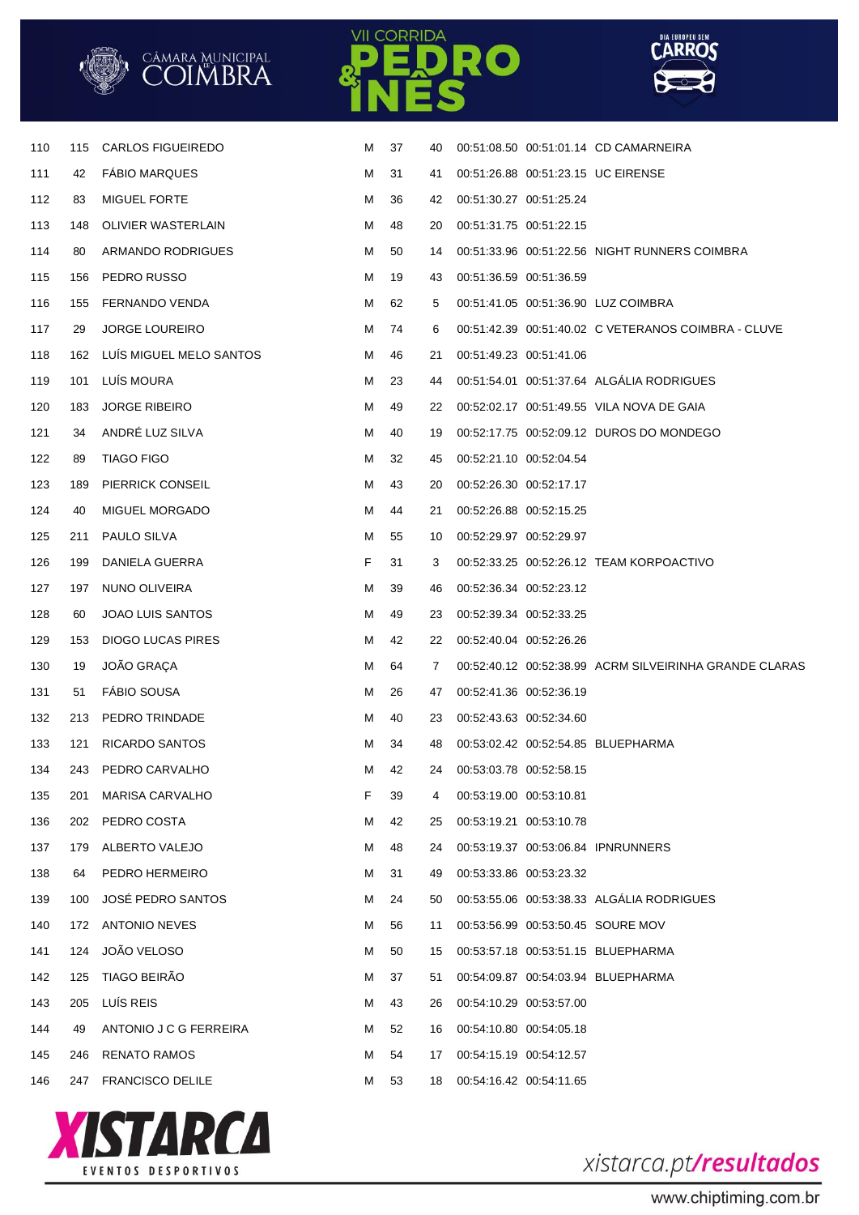|  | cämara Municipal<br><b>COIMBRA</b> |
|--|------------------------------------|
|--|------------------------------------|





| 110 | 115 | <b>CARLOS FIGUEIREDO</b>    | M | 37 | 40 |                         | 00:51:08.50 00:51:01.14 CD CAMARNEIRA                  |
|-----|-----|-----------------------------|---|----|----|-------------------------|--------------------------------------------------------|
| 111 | 42  | <b>FABIO MARQUES</b>        | M | 31 | 41 |                         | 00:51:26.88 00:51:23.15 UC EIRENSE                     |
| 112 | 83  | <b>MIGUEL FORTE</b>         | м | 36 | 42 | 00:51:30.27 00:51:25.24 |                                                        |
| 113 | 148 | OLIVIER WASTERLAIN          | м | 48 | 20 | 00:51:31.75 00:51:22.15 |                                                        |
| 114 | 80  | ARMANDO RODRIGUES           | м | 50 | 14 |                         | 00:51:33.96 00:51:22.56 NIGHT RUNNERS COIMBRA          |
| 115 | 156 | PEDRO RUSSO                 | м | 19 | 43 | 00:51:36.59 00:51:36.59 |                                                        |
| 116 | 155 | FERNANDO VENDA              | м | 62 | 5  |                         | 00:51:41.05 00:51:36.90 LUZ COIMBRA                    |
| 117 | 29  | <b>JORGE LOUREIRO</b>       | м | 74 | 6  |                         |                                                        |
| 118 |     | 162 LUIS MIGUEL MELO SANTOS | м | 46 | 21 | 00:51:49.23 00:51:41.06 |                                                        |
| 119 | 101 | LUÍS MOURA                  | M | 23 | 44 |                         | 00:51:54.01 00:51:37.64 ALGALIA RODRIGUES              |
| 120 | 183 | <b>JORGE RIBEIRO</b>        | M | 49 | 22 |                         | 00:52:02.17 00:51:49.55 VILA NOVA DE GAIA              |
| 121 | 34  | ANDRÉ LUZ SILVA             | M | 40 | 19 |                         | 00:52:17.75 00:52:09.12 DUROS DO MONDEGO               |
| 122 | 89  | <b>TIAGO FIGO</b>           | M | 32 | 45 | 00:52:21.10 00:52:04.54 |                                                        |
| 123 | 189 | <b>PIERRICK CONSEIL</b>     | M | 43 | 20 | 00:52:26.30 00:52:17.17 |                                                        |
| 124 | 40  | MIGUEL MORGADO              | м | 44 | 21 | 00:52:26.88 00:52:15.25 |                                                        |
| 125 | 211 | PAULO SILVA                 | M | 55 | 10 | 00:52:29.97 00:52:29.97 |                                                        |
| 126 | 199 | DANIELA GUERRA              | F | 31 | 3  |                         | 00:52:33.25 00:52:26.12 TEAM KORPOACTIVO               |
| 127 | 197 | NUNO OLIVEIRA               | M | 39 | 46 | 00:52:36.34 00:52:23.12 |                                                        |
| 128 | 60  | <b>JOAO LUIS SANTOS</b>     | м | 49 | 23 | 00:52:39.34 00:52:33.25 |                                                        |
| 129 | 153 | <b>DIOGO LUCAS PIRES</b>    | M | 42 | 22 | 00:52:40.04 00:52:26.26 |                                                        |
| 130 | 19  | JOÃO GRAÇA                  | M | 64 | 7  |                         | 00:52:40.12 00:52:38.99 ACRM SILVEIRINHA GRANDE CLARAS |
| 131 | 51  | <b>FÁBIO SOUSA</b>          | M | 26 | 47 | 00:52:41.36 00:52:36.19 |                                                        |
| 132 | 213 | PEDRO TRINDADE              | M | 40 | 23 | 00:52:43.63 00:52:34.60 |                                                        |
| 133 | 121 | <b>RICARDO SANTOS</b>       | M | 34 | 48 |                         | 00:53:02.42 00:52:54.85 BLUEPHARMA                     |
| 134 |     | 243 PEDRO CARVALHO          | м | 42 | 24 | 00:53:03.78 00:52:58.15 |                                                        |
| 135 | 201 | <b>MARISA CARVALHO</b>      | F | 39 | 4  | 00:53:19.00 00:53:10.81 |                                                        |
| 136 |     | 202 PEDRO COSTA             | M | 42 | 25 | 00:53:19.21 00:53:10.78 |                                                        |
| 137 | 179 | ALBERTO VALEJO              | M | 48 | 24 |                         | 00:53:19.37 00:53:06.84 IPNRUNNERS                     |
| 138 | 64  | PEDRO HERMEIRO              | M | 31 | 49 | 00:53:33.86 00:53:23.32 |                                                        |
| 139 | 100 | JOSÉ PEDRO SANTOS           | м | 24 | 50 |                         | 00:53:55.06 00:53:38.33 ALGÁLIA RODRIGUES              |
| 140 |     | 172 ANTONIO NEVES           | M | 56 | 11 |                         | 00:53:56.99 00:53:50.45 SOURE MOV                      |
| 141 | 124 | JOÃO VELOSO                 | M | 50 | 15 |                         | 00:53:57.18 00:53:51.15 BLUEPHARMA                     |
| 142 | 125 | TIAGO BEIRÃO                | M | 37 | 51 |                         | 00:54:09.87 00:54:03.94 BLUEPHARMA                     |
| 143 | 205 | LUÍS REIS                   | м | 43 | 26 | 00:54:10.29 00:53:57.00 |                                                        |
| 144 | 49  | ANTONIO J C G FERREIRA      | м | 52 | 16 | 00:54:10.80 00:54:05.18 |                                                        |
| 145 | 246 | <b>RENATO RAMOS</b>         | м | 54 | 17 | 00:54:15.19 00:54:12.57 |                                                        |
| 146 |     | 247 FRANCISCO DELILE        | M | 53 | 18 | 00:54:16.42 00:54:11.65 |                                                        |
|     |     |                             |   |    |    |                         |                                                        |



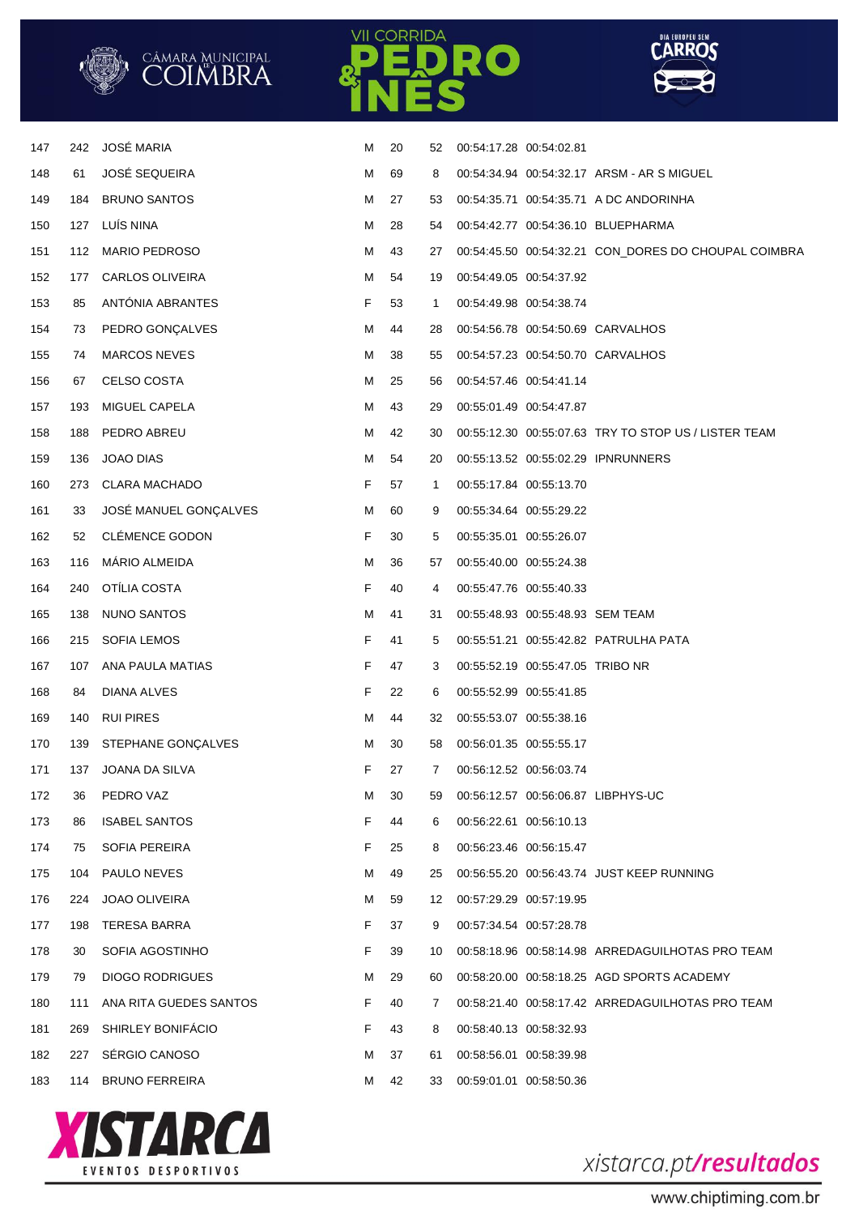|     |     | CÂMARA MUNICIPAL<br>COIMBRA |   |     |    | EDRO                             | <b>LARRUS</b>                                        |
|-----|-----|-----------------------------|---|-----|----|----------------------------------|------------------------------------------------------|
|     |     |                             |   | VES |    |                                  |                                                      |
|     |     |                             |   |     |    |                                  |                                                      |
| 147 | 242 | <b>JOSÉ MARIA</b>           | м | 20  | 52 | 00:54:17.28 00:54:02.81          |                                                      |
| 148 | 61  | <b>JOSÉ SEQUEIRA</b>        | M | 69  | 8  |                                  | 00:54:34.94 00:54:32.17 ARSM - AR S MIGUEL           |
| 149 | 184 | <b>BRUNO SANTOS</b>         | м | 27  | 53 |                                  | 00:54:35.71 00:54:35.71 A DC ANDORINHA               |
| 150 | 127 | LUÍS NINA                   | м | 28  | 54 |                                  | 00:54:42.77 00:54:36.10 BLUEPHARMA                   |
| 151 | 112 | <b>MARIO PEDROSO</b>        | M | 43  | 27 |                                  | 00:54:45.50 00:54:32.21 CON_DORES DO CHOUPAL COIMBRA |
| 152 | 177 | <b>CARLOS OLIVEIRA</b>      | м | 54  | 19 | 00:54:49.05 00:54:37.92          |                                                      |
| 153 | 85  | ANTONIA ABRANTES            | F | 53  | 1  | 00:54:49.98 00:54:38.74          |                                                      |
| 154 | 73  | PEDRO GONÇALVES             | M | 44  | 28 |                                  | 00:54:56.78 00:54:50.69 CARVALHOS                    |
| 155 | 74  | <b>MARCOS NEVES</b>         | M | 38  | 55 |                                  | 00:54:57.23 00:54:50.70 CARVALHOS                    |
| 156 | 67  | CELSO COSTA                 | M | 25  | 56 | 00:54:57.46 00:54:41.14          |                                                      |
| 157 | 193 | MIGUEL CAPELA               | M | 43  | 29 | 00:55:01.49 00:54:47.87          |                                                      |
| 158 | 188 | PEDRO ABREU                 | M | 42  | 30 |                                  | 00:55:12.30 00:55:07.63 TRY TO STOP US / LISTER TEAM |
| 159 | 136 | JOAO DIAS                   | м | 54  | 20 |                                  | 00:55:13.52 00:55:02.29 IPNRUNNERS                   |
| 160 | 273 | <b>CLARA MACHADO</b>        | F | 57  | 1  | 00:55:17.84 00:55:13.70          |                                                      |
| 161 | 33  | JOSÉ MANUEL GONÇALVES       | M | 60  | 9  | 00:55:34.64 00:55:29.22          |                                                      |
| 162 | 52  | CLÉMENCE GODON              | F | 30  | 5  | 00:55:35.01 00:55:26.07          |                                                      |
| 163 | 116 | MÁRIO ALMEIDA               | M | 36  | 57 | 00:55:40.00 00:55:24.38          |                                                      |
| 164 | 240 | OTÍLIA COSTA                | F | 40  | 4  | 00:55:47.76 00:55:40.33          |                                                      |
| 165 | 138 | <b>NUNO SANTOS</b>          | M | 41  | 31 | 00:55:48.93 00:55:48.93 SEM TEAM |                                                      |
| 166 | 215 | SOFIA LEMOS                 | F | 41  | 5  |                                  | 00:55:51.21 00:55:42.82 PATRULHA PATA                |
| 167 | 107 | ANA PAULA MATIAS            | F | 47  | 3  | 00:55:52.19 00:55:47.05 TRIBO NR |                                                      |
| 168 | 84  | DIANA ALVES                 | F | 22  | 6  | 00:55:52.99 00:55:41.85          |                                                      |
| 169 | 140 | <b>RUI PIRES</b>            | м | 44  | 32 | 00:55:53.07 00:55:38.16          |                                                      |
| 170 |     | 139 STEPHANE GONÇALVES      | M | 30  | 58 | 00:56:01.35 00:55:55.17          |                                                      |
| 171 | 137 | <b>JOANA DA SILVA</b>       | F | 27  | 7  | 00:56:12.52 00:56:03.74          |                                                      |
| 172 | 36  | PEDRO VAZ                   | м | 30  | 59 |                                  | 00:56:12.57 00:56:06.87 LIBPHYS-UC                   |
| 173 | 86  | <b>ISABEL SANTOS</b>        | F | 44  | 6  | 00:56:22.61 00:56:10.13          |                                                      |
| 174 | 75  | <b>SOFIA PEREIRA</b>        | F | 25  | 8  | 00:56:23.46 00:56:15.47          |                                                      |
| 175 | 104 | PAULO NEVES                 | м | 49  | 25 |                                  | 00:56:55.20 00:56:43.74 JUST KEEP RUNNING            |
| 176 | 224 | JOAO OLIVEIRA               | м | 59  | 12 | 00:57:29.29 00:57:19.95          |                                                      |
| 177 | 198 | TERESA BARRA                | F | 37  | 9  | 00:57:34.54 00:57:28.78          |                                                      |
| 178 | 30  | SOFIA AGOSTINHO             | F | 39  | 10 |                                  | 00:58:18.96 00:58:14.98 ARREDAGUILHOTAS PRO TEAM     |
| 179 | 79  | <b>DIOGO RODRIGUES</b>      | м | 29  | 60 |                                  | 00:58:20.00 00:58:18.25 AGD SPORTS ACADEMY           |
| 180 |     | 111 ANA RITA GUEDES SANTOS  | F | 40  | 7  |                                  | 00:58:21.40 00:58:17.42 ARREDAGUILHOTAS PRO TEAM     |
| 181 | 269 | SHIRLEY BONIFÁCIO           | F | 43  | 8  | 00:58:40.13 00:58:32.93          |                                                      |
| 182 | 227 | SÉRGIO CANOSO               | м | 37  | 61 | 00:58:56.01 00:58:39.98          |                                                      |
| 183 | 114 | <b>BRUNO FERREIRA</b>       | М | 42  | 33 | 00:59:01.01 00:58:50.36          |                                                      |

**VII CORRIDA** 





DIA EUROPEU SEM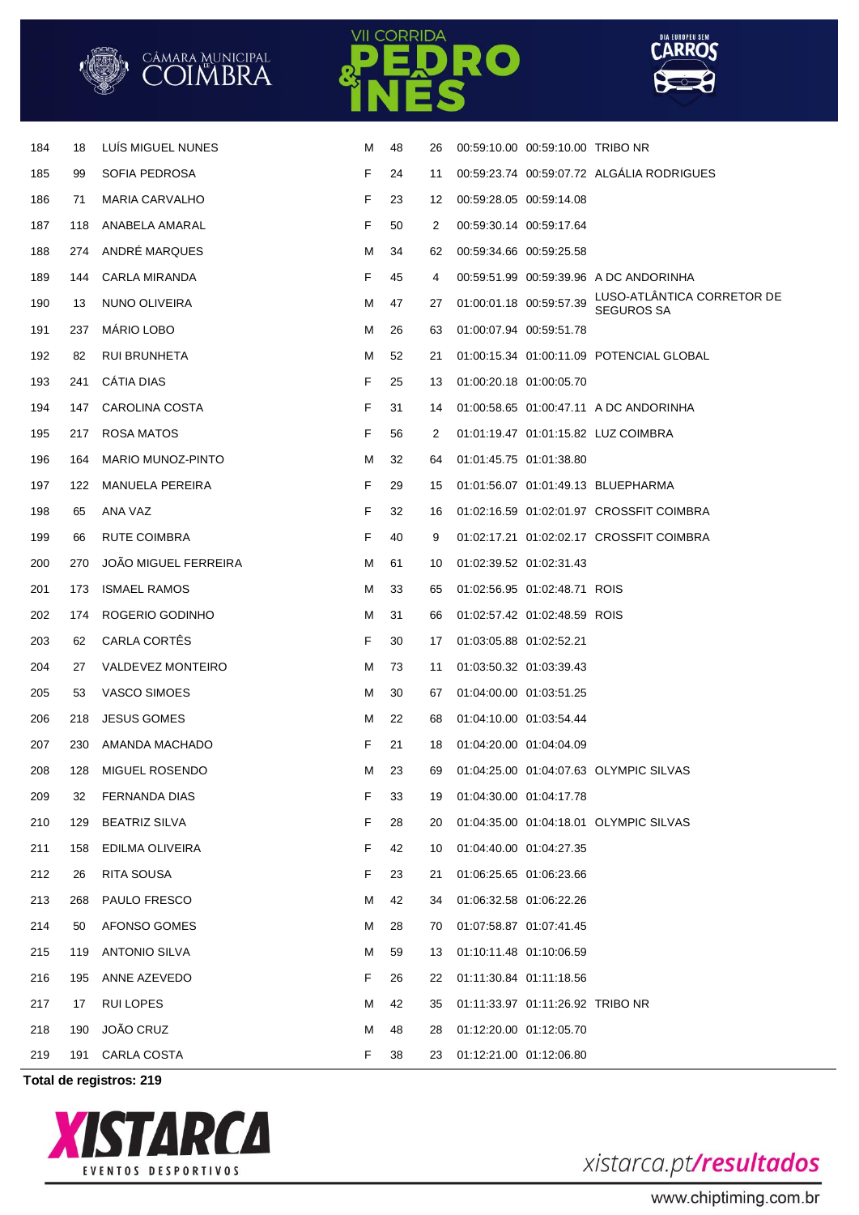

**CORRIDA** 

RO

**Total de registros: 219**





**CARROS**